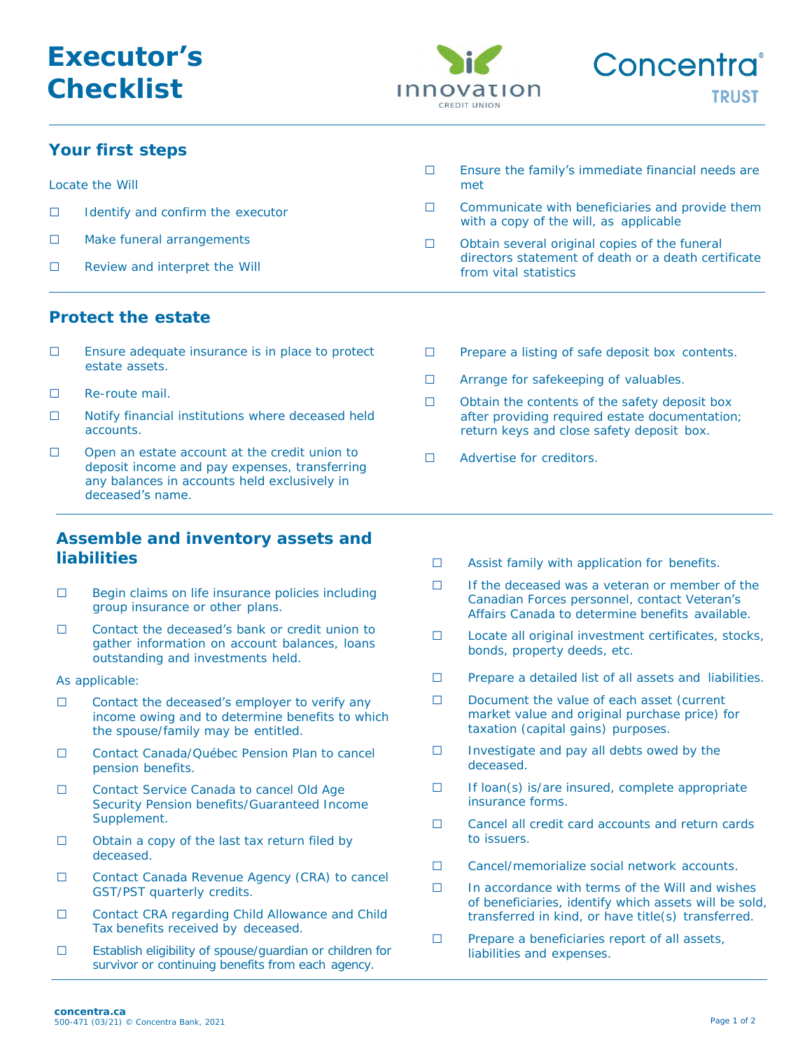

## **Your first steps**

| Locate the Will |                                   |  | Ensure the family's immediate financial needs are<br>met                                                                      |
|-----------------|-----------------------------------|--|-------------------------------------------------------------------------------------------------------------------------------|
|                 | Identify and confirm the executor |  | Communicate with beneficiaries and provide them<br>with a copy of the will, as applicable                                     |
|                 | Make funeral arrangements         |  | Obtain several original copies of the funeral<br>directors statement of death or a death certificate<br>from vital statistics |
|                 | Review and interpret the Will     |  |                                                                                                                               |

### **Protect the estate**

- □ Ensure adequate insurance is in place to protect estate assets.
- □ Re-route mail.
- □ Notify financial institutions where deceased held accounts.
- □ Open an estate account at the credit union to deposit income and pay expenses, transferring any balances in accounts held exclusively in deceased's name.

#### **Assemble and inventory assets and liabilities**

- □ Begin claims on life insurance policies including group insurance or other plans.
- □ Contact the deceased's bank or credit union to gather information on account balances, loans outstanding and investments held.

As applicable:

- $\Box$  Contact the deceased's employer to verify any income owing and to determine benefits to which the spouse/family may be entitled.
- □ Contact Canada/Québec Pension Plan to cancel pension benefits.
- □ Contact Service Canada to cancel Old Age Security Pension benefits/Guaranteed Income Supplement.
- □ Obtain a copy of the last tax return filed by deceased.
- □ Contact Canada Revenue Agency (CRA) to cancel GST/PST quarterly credits.
- □ Contact CRA regarding Child Allowance and Child Tax benefits received by deceased.
- □ Establish eligibility of spouse/guardian or children for survivor or continuing benefits from each agency.
- □ Prepare a listing of safe deposit box contents.
- □ Arrange for safekeeping of valuables.
- □ Obtain the contents of the safety deposit box after providing required estate documentation; return keys and close safety deposit box.
- □ Advertise for creditors.
- □ Assist family with application for benefits.
- □ If the deceased was a veteran or member of the Canadian Forces personnel, contact Veteran's Affairs Canada to determine benefits available.
- □ Locate all original investment certificates, stocks, bonds, property deeds, etc.
- □ Prepare a detailed list of all assets and liabilities.
- □ Document the value of each asset (current market value and original purchase price) for taxation (capital gains) purposes.
- □ Investigate and pay all debts owed by the deceased.
- □ If loan(s) is/are insured, complete appropriate insurance forms.
- □ Cancel all credit card accounts and return cards to issuers.
- □ Cancel/memorialize social network accounts.
- □ In accordance with terms of the Will and wishes of beneficiaries, identify which assets will be sold, transferred in kind, or have title(s) transferred.
- □ Prepare a beneficiaries report of all assets, liabilities and expenses.